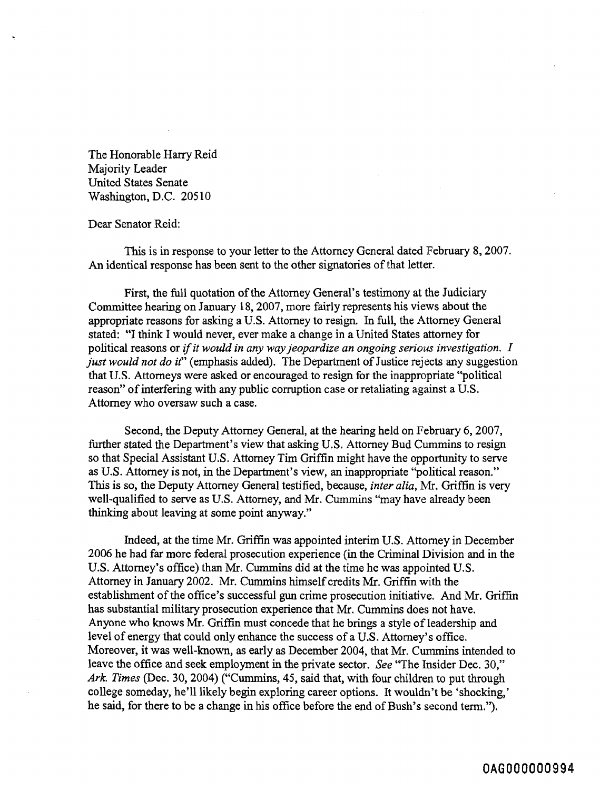The Honorable Harry Reid Majority Leader United States Senate Washington, D.C. 205 10

## Dear Senator Reid:

This is in response to your letter to the Attorney General dated February 8,2007. An identical response has been sent to the other signatories of that letter.

First, the full quotation of the Attorney General's testimony at the Judiciary Committee hearing on January 18,2007, more fairly represents his views about the appropriate reasons for asking a U.S. Attorney to resign. In full, the Attorney General stated: "I **think** I would never, ever make a change in a United States attorney for political reasons or if *it would in any way jeopardize an ongoing serious investigation. I just would not do it"* (emphasis added). The Department of Justice rejects any suggestion that U.S. Attorneys were asked or encouraged to resign for the inappropriate "political reason" of interfering with any public corruption case or retaliating against a U.S. Attorney who oversaw such a case.

Second, the Deputy Attorney General, at the hearing held on February 6, 2007, further stated the Department's view that asking U.S. Attorney Bud Cummins to resign so that Special Assistant U.S. Attorney Tim Griffin might have the opportunity to serve as U.S. Attorney is not, in the Department's view, an inappropriate "political reason." This is so, the Deputy Attorney General testified, because, *inter alia,* Mr. Griffin is very well-qualified to serve as U.S. Attorney, and Mr. Cummins "may have already been thinking about leaving at some point anyway."

Indeed, at the time Mr. Griffin was appointed interim U.S. Attorney in December 2006 he had far more federal prosecution experience (in the Criminal Division and in the U.S. Attorney's office) than Mr. Cummins did at the time he was appointed U.S. Attorney in January 2002. Mr. Cummins himself credits Mr. Griffin with the establishment of the office's successful gun crime prosecution initiative. And Mr. Griffin has substantial military prosecution experience that Mr. Cummins does not have. Anyone who knows Mr. Griffin must concede that he brings a style of leadership and level of energy that could only enhance the success of a U.S. Attorney's office. Moreover, it was well-known, as early as December 2004, that Mr. Cummins intended to leave the office and seek employment in the private sector. *See* "The Insider Dec. 30," Ark. Times (Dec. 30, 2004) ("Cummins, 45, said that, with four children to put through college someday, he'll likely begin exploring career options. It wouldn't be 'shocking,' he said, for there to be a change in his office before the end of Bush's second term.").